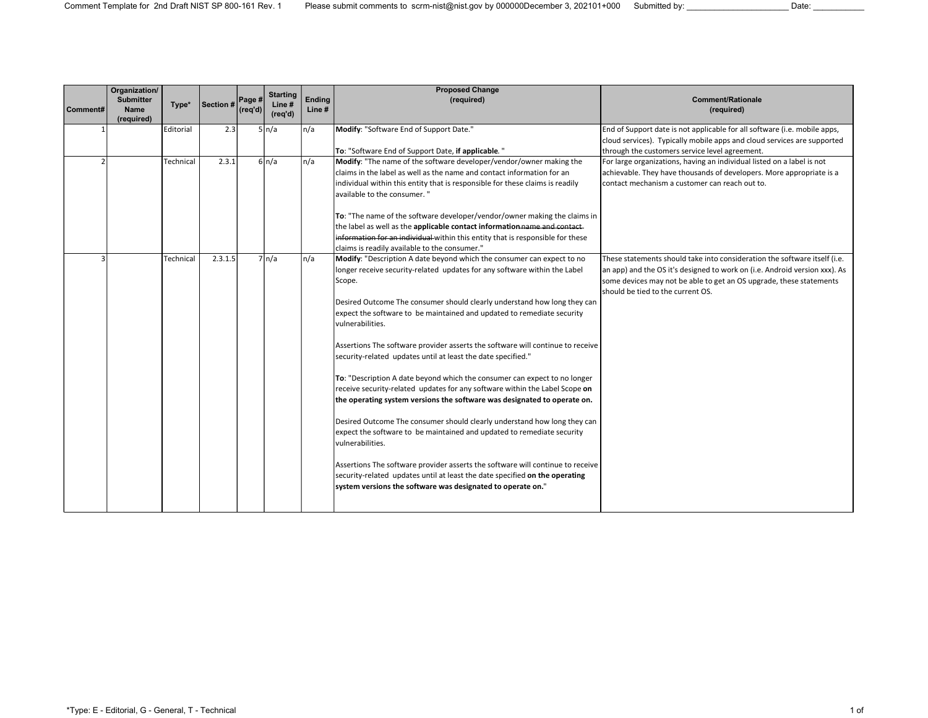|          | Organization/<br><b>Submitter</b> | Type*     | Section # | Page #             | <b>Starting</b><br>Line# | Ending | <b>Proposed Change</b><br>(required)                                           | <b>Comment/Rationale</b>                                                                                                                             |
|----------|-----------------------------------|-----------|-----------|--------------------|--------------------------|--------|--------------------------------------------------------------------------------|------------------------------------------------------------------------------------------------------------------------------------------------------|
| Comment# | Name<br>(required)                |           |           | $ (\text{req'd}) $ | (req'd)                  | Line#  |                                                                                | (required)                                                                                                                                           |
|          |                                   | Editorial | 2.3       |                    | $5 \mid n/a$             | In/a   | Modify: "Software End of Support Date."                                        | End of Support date is not applicable for all software (i.e. mobile apps,<br>cloud services). Typically mobile apps and cloud services are supported |
|          |                                   |           |           |                    |                          |        | To: "Software End of Support Date, if applicable."                             | through the customers service level agreement.                                                                                                       |
|          |                                   | Technical | 2.3.1     |                    | $6\ln/a$                 | n/a    | Modify: "The name of the software developer/vendor/owner making the            | For large organizations, having an individual listed on a label is not                                                                               |
|          |                                   |           |           |                    |                          |        | Iclaims in the label as well as the name and contact information for an        | achievable. They have thousands of developers. More appropriate is a                                                                                 |
|          |                                   |           |           |                    |                          |        | individual within this entity that is responsible for these claims is readily  | contact mechanism a customer can reach out to.                                                                                                       |
|          |                                   |           |           |                    |                          |        | available to the consumer."                                                    |                                                                                                                                                      |
|          |                                   |           |           |                    |                          |        | To: "The name of the software developer/vendor/owner making the claims in      |                                                                                                                                                      |
|          |                                   |           |           |                    |                          |        | the label as well as the applicable contact information name and contact-      |                                                                                                                                                      |
|          |                                   |           |           |                    |                          |        | information for an individual within this entity that is responsible for these |                                                                                                                                                      |
|          |                                   |           |           |                    |                          |        | claims is readily available to the consumer."                                  |                                                                                                                                                      |
|          |                                   | Technical | 2.3.1.5   |                    | $7 \nvert n/a$           | n/a    | Modify: "Description A date beyond which the consumer can expect to no         | These statements should take into consideration the software itself (i.e.                                                                            |
|          |                                   |           |           |                    |                          |        | longer receive security-related updates for any software within the Label      | an app) and the OS it's designed to work on (i.e. Android version xxx). As                                                                           |
|          |                                   |           |           |                    |                          |        | Scope.                                                                         | some devices may not be able to get an OS upgrade, these statements<br>should be tied to the current OS.                                             |
|          |                                   |           |           |                    |                          |        | Desired Outcome The consumer should clearly understand how long they can       |                                                                                                                                                      |
|          |                                   |           |           |                    |                          |        | expect the software to be maintained and updated to remediate security         |                                                                                                                                                      |
|          |                                   |           |           |                    |                          |        | vulnerabilities.                                                               |                                                                                                                                                      |
|          |                                   |           |           |                    |                          |        |                                                                                |                                                                                                                                                      |
|          |                                   |           |           |                    |                          |        | Assertions The software provider asserts the software will continue to receive |                                                                                                                                                      |
|          |                                   |           |           |                    |                          |        | security-related updates until at least the date specified."                   |                                                                                                                                                      |
|          |                                   |           |           |                    |                          |        | To: "Description A date beyond which the consumer can expect to no longer      |                                                                                                                                                      |
|          |                                   |           |           |                    |                          |        | receive security-related updates for any software within the Label Scope on    |                                                                                                                                                      |
|          |                                   |           |           |                    |                          |        | the operating system versions the software was designated to operate on.       |                                                                                                                                                      |
|          |                                   |           |           |                    |                          |        | Desired Outcome The consumer should clearly understand how long they can       |                                                                                                                                                      |
|          |                                   |           |           |                    |                          |        | expect the software to be maintained and updated to remediate security         |                                                                                                                                                      |
|          |                                   |           |           |                    |                          |        | vulnerabilities.                                                               |                                                                                                                                                      |
|          |                                   |           |           |                    |                          |        | Assertions The software provider asserts the software will continue to receive |                                                                                                                                                      |
|          |                                   |           |           |                    |                          |        | security-related updates until at least the date specified on the operating    |                                                                                                                                                      |
|          |                                   |           |           |                    |                          |        | system versions the software was designated to operate on."                    |                                                                                                                                                      |
|          |                                   |           |           |                    |                          |        |                                                                                |                                                                                                                                                      |
|          |                                   |           |           |                    |                          |        |                                                                                |                                                                                                                                                      |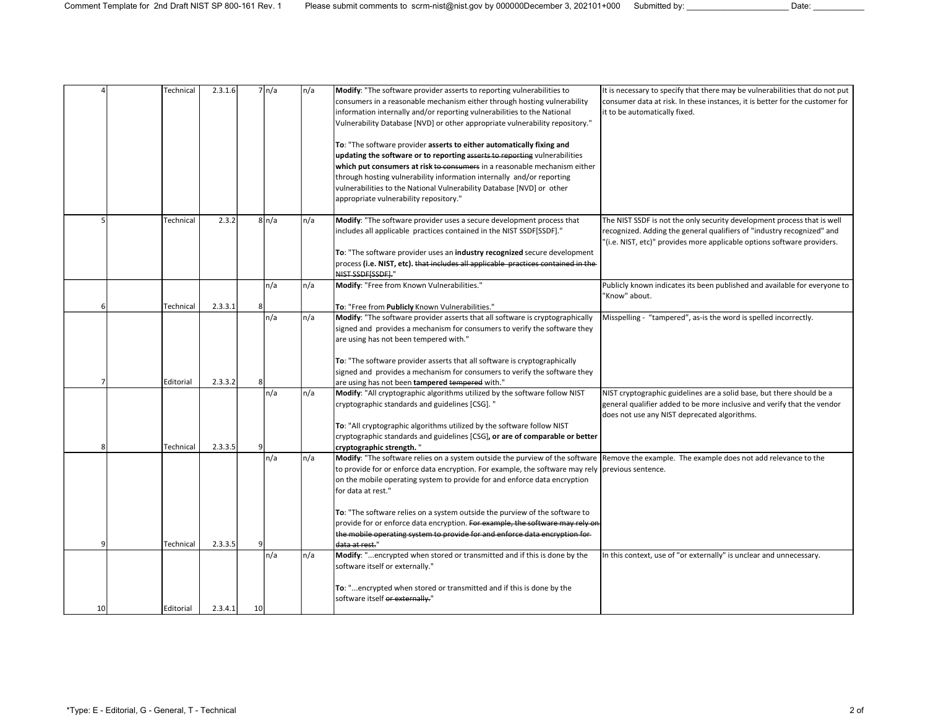|    | Technical | 2.3.1.6 |    | 7 n/a        | n/a | Modify: "The software provider asserts to reporting vulnerabilities to<br>consumers in a reasonable mechanism either through hosting vulnerability<br>information internally and/or reporting vulnerabilities to the National<br>Vulnerability Database [NVD] or other appropriate vulnerability repository." | It is necessary to specify that there may be vulnerabilities that do not put<br>consumer data at risk. In these instances, it is better for the customer for<br>it to be automatically fixed.                                |
|----|-----------|---------|----|--------------|-----|---------------------------------------------------------------------------------------------------------------------------------------------------------------------------------------------------------------------------------------------------------------------------------------------------------------|------------------------------------------------------------------------------------------------------------------------------------------------------------------------------------------------------------------------------|
|    |           |         |    |              |     | To: "The software provider asserts to either automatically fixing and                                                                                                                                                                                                                                         |                                                                                                                                                                                                                              |
|    |           |         |    |              |     | updating the software or to reporting asserts to reporting vulnerabilities                                                                                                                                                                                                                                    |                                                                                                                                                                                                                              |
|    |           |         |    |              |     | which put consumers at risk to consumers in a reasonable mechanism either                                                                                                                                                                                                                                     |                                                                                                                                                                                                                              |
|    |           |         |    |              |     | through hosting vulnerability information internally and/or reporting                                                                                                                                                                                                                                         |                                                                                                                                                                                                                              |
|    |           |         |    |              |     | vulnerabilities to the National Vulnerability Database [NVD] or other                                                                                                                                                                                                                                         |                                                                                                                                                                                                                              |
|    |           |         |    |              |     | appropriate vulnerability repository."                                                                                                                                                                                                                                                                        |                                                                                                                                                                                                                              |
|    | Technical | 2.3.2   |    | $8 \mid n/a$ | n/a | Modify: "The software provider uses a secure development process that<br>includes all applicable practices contained in the NIST SSDF[SSDF]."                                                                                                                                                                 | The NIST SSDF is not the only security development process that is well<br>recognized. Adding the general qualifiers of "industry recognized" and<br>"(i.e. NIST, etc)" provides more applicable options software providers. |
|    |           |         |    |              |     | To: "The software provider uses an industry recognized secure development                                                                                                                                                                                                                                     |                                                                                                                                                                                                                              |
|    |           |         |    |              |     | process (i.e. NIST, etc). that includes all applicable practices contained in the                                                                                                                                                                                                                             |                                                                                                                                                                                                                              |
|    |           |         |    |              |     | NIST SSDFISSDFI."                                                                                                                                                                                                                                                                                             |                                                                                                                                                                                                                              |
|    |           |         |    | n/a          | n/a | Modify: "Free from Known Vulnerabilities."                                                                                                                                                                                                                                                                    | Publicly known indicates its been published and available for everyone to<br>"Know" about.                                                                                                                                   |
|    | Technical | 2.3.3.1 | 8  |              |     | To: "Free from Publicly Known Vulnerabilities."                                                                                                                                                                                                                                                               |                                                                                                                                                                                                                              |
|    |           |         |    | n/a          | n/a | Modify: "The software provider asserts that all software is cryptographically<br>signed and provides a mechanism for consumers to verify the software they                                                                                                                                                    | Misspelling - "tampered", as-is the word is spelled incorrectly.                                                                                                                                                             |
|    |           |         |    |              |     | are using has not been tempered with."                                                                                                                                                                                                                                                                        |                                                                                                                                                                                                                              |
|    |           |         |    |              |     |                                                                                                                                                                                                                                                                                                               |                                                                                                                                                                                                                              |
|    |           |         |    |              |     | To: "The software provider asserts that all software is cryptographically                                                                                                                                                                                                                                     |                                                                                                                                                                                                                              |
|    |           |         |    |              |     | signed and provides a mechanism for consumers to verify the software they                                                                                                                                                                                                                                     |                                                                                                                                                                                                                              |
|    | Editorial | 2.3.3.2 | 8  |              |     | are using has not been tampered tempered with."                                                                                                                                                                                                                                                               |                                                                                                                                                                                                                              |
|    |           |         |    | n/a          | n/a | Modify: "All cryptographic algorithms utilized by the software follow NIST<br>cryptographic standards and guidelines [CSG]. "                                                                                                                                                                                 | NIST cryptographic guidelines are a solid base, but there should be a<br>general qualifier added to be more inclusive and verify that the vendor                                                                             |
|    |           |         |    |              |     |                                                                                                                                                                                                                                                                                                               | does not use any NIST deprecated algorithms.                                                                                                                                                                                 |
|    |           |         |    |              |     | To: "All cryptographic algorithms utilized by the software follow NIST                                                                                                                                                                                                                                        |                                                                                                                                                                                                                              |
|    |           |         |    |              |     | cryptographic standards and guidelines [CSG], or are of comparable or better                                                                                                                                                                                                                                  |                                                                                                                                                                                                                              |
|    | Technical | 2.3.3.5 |    |              |     | cryptographic strength."                                                                                                                                                                                                                                                                                      |                                                                                                                                                                                                                              |
|    |           |         |    | n/a          | n/a | Modify: "The software relies on a system outside the purview of the software Remove the example. The example does not add relevance to the                                                                                                                                                                    |                                                                                                                                                                                                                              |
|    |           |         |    |              |     | to provide for or enforce data encryption. For example, the software may rely previous sentence.<br>on the mobile operating system to provide for and enforce data encryption                                                                                                                                 |                                                                                                                                                                                                                              |
|    |           |         |    |              |     | for data at rest."                                                                                                                                                                                                                                                                                            |                                                                                                                                                                                                                              |
|    |           |         |    |              |     |                                                                                                                                                                                                                                                                                                               |                                                                                                                                                                                                                              |
|    |           |         |    |              |     | To: "The software relies on a system outside the purview of the software to                                                                                                                                                                                                                                   |                                                                                                                                                                                                                              |
|    |           |         |    |              |     | provide for or enforce data encryption. For example, the software may rely on                                                                                                                                                                                                                                 |                                                                                                                                                                                                                              |
|    | Technical | 2.3.3.5 | 9  |              |     | the mobile operating system to provide for and enforce data encryption for-<br>data at rest."                                                                                                                                                                                                                 |                                                                                                                                                                                                                              |
|    |           |         |    | n/a          | n/a | Modify: "encrypted when stored or transmitted and if this is done by the                                                                                                                                                                                                                                      | In this context, use of "or externally" is unclear and unnecessary.                                                                                                                                                          |
|    |           |         |    |              |     | software itself or externally."                                                                                                                                                                                                                                                                               |                                                                                                                                                                                                                              |
|    |           |         |    |              |     | To: "encrypted when stored or transmitted and if this is done by the                                                                                                                                                                                                                                          |                                                                                                                                                                                                                              |
|    |           |         |    |              |     | software itself or externally."                                                                                                                                                                                                                                                                               |                                                                                                                                                                                                                              |
| 10 | Editorial | 2.3.4.1 | 10 |              |     |                                                                                                                                                                                                                                                                                                               |                                                                                                                                                                                                                              |